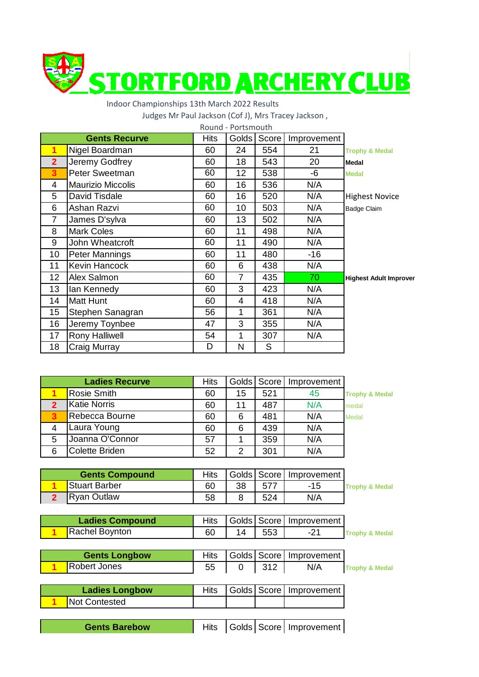

## Indoor Championships 13th March 2022 Results

Judges Mr Paul Jackson (Cof J), Mrs Tracey Jackson ,

| Round - Portsmouth |                          |             |                 |       |             |                               |  |  |
|--------------------|--------------------------|-------------|-----------------|-------|-------------|-------------------------------|--|--|
|                    | <b>Gents Recurve</b>     | <b>Hits</b> | Golds           | Score | Improvement |                               |  |  |
| 1                  | Nigel Boardman           | 60          | 24              | 554   | 21          | <b>Trophy &amp; Medal</b>     |  |  |
| $\overline{2}$     | Jeremy Godfrey           | 60          | 18              | 543   | 20          | Medal                         |  |  |
| 3                  | <b>Peter Sweetman</b>    | 60          | 12 <sub>2</sub> | 538   | -6          | <b>Medal</b>                  |  |  |
| 4                  | <b>Maurizio Miccolis</b> | 60          | 16              | 536   | N/A         |                               |  |  |
| 5                  | David Tisdale            | 60          | 16              | 520   | N/A         | <b>Highest Novice</b>         |  |  |
| 6                  | Ashan Razvi              | 60          | 10              | 503   | N/A         | <b>Badge Claim</b>            |  |  |
| $\overline{7}$     | James D'sylva            | 60          | 13              | 502   | N/A         |                               |  |  |
| 8                  | <b>Mark Coles</b>        | 60          | 11              | 498   | N/A         |                               |  |  |
| 9                  | John Wheatcroft          | 60          | 11              | 490   | N/A         |                               |  |  |
| 10                 | Peter Mannings           | 60          | 11              | 480   | -16         |                               |  |  |
| 11                 | Kevin Hancock            | 60          | 6               | 438   | N/A         |                               |  |  |
| 12                 | Alex Salmon              | 60          | $\overline{7}$  | 435   | 70          | <b>Highest Adult Improver</b> |  |  |
| 13                 | lan Kennedy              | 60          | 3               | 423   | N/A         |                               |  |  |
| 14                 | Matt Hunt                | 60          | 4               | 418   | N/A         |                               |  |  |
| 15                 | Stephen Sanagran         | 56          | 1               | 361   | N/A         |                               |  |  |
| 16                 | Jeremy Toynbee           | 47          | 3               | 355   | N/A         |                               |  |  |
| 17                 | <b>Rony Halliwell</b>    | 54          | 1               | 307   | N/A         |                               |  |  |
| 18                 | Craig Murray             | D           | N               | S     |             |                               |  |  |

| <b>Ladies Recurve</b> |                       | <b>Hits</b> |    | Golds Score | Improvement |                           |
|-----------------------|-----------------------|-------------|----|-------------|-------------|---------------------------|
|                       | Rosie Smith           | 60          | 15 | 521         | 45          | <b>Trophy &amp; Medal</b> |
|                       | <b>Katie Norris</b>   | 60          | 11 | 487         | N/A         | medal                     |
|                       | Rebecca Bourne        | 60          | 6  | 481         | N/A         | <b>Medal</b>              |
| 4                     | Laura Young           | 60          | 6  | 439         | N/A         |                           |
| 5                     | Joanna O'Connor       | 57          |    | 359         | N/A         |                           |
| 6                     | <b>Colette Briden</b> | 52          | 2  | 301         | N/A         |                           |

| <b>Gents Compound</b> |                      | <b>Hits</b> |    |     | Golds   Score   Improvement |                           |
|-----------------------|----------------------|-------------|----|-----|-----------------------------|---------------------------|
|                       | <b>Stuart Barber</b> | 60          | 38 | 577 | -15                         | <b>Trophy &amp; Medal</b> |
|                       | Ryan Outlaw          | 58          |    | 524 | N/A                         |                           |

| Ladies Compound |    |          | Hits   Golds   Score   Improvement |                           |
|-----------------|----|----------|------------------------------------|---------------------------|
| Rachel Boynton  | 60 | 14   553 |                                    | <b>Trophy &amp; Medal</b> |

| <b>Gents Longbow</b> |    |       | Hits   Golds   Score   Improvement |                           |
|----------------------|----|-------|------------------------------------|---------------------------|
| Robert Jones         | 55 | - 312 | N/A                                | <b>Trophy &amp; Medal</b> |
|                      |    |       |                                    |                           |

| <b>Ladies Longbow</b> |  | Hits   Golds   Score   Improvement |
|-----------------------|--|------------------------------------|
| Not Contested         |  |                                    |
|                       |  |                                    |

**Gents Barebow**

Hits | Golds | Score | Improvement |